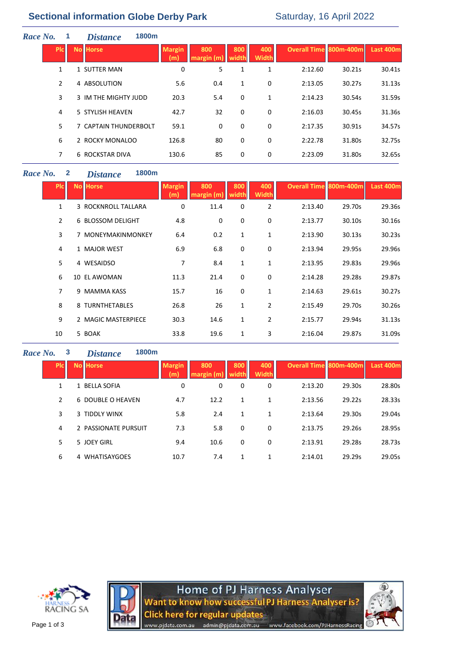## **Sectional information Globe Derby Park** Saturday, 16 April 2022

| Race No. |                | 1800m<br><b>Distance</b> |                      |                  |              |                     |                               |        |           |
|----------|----------------|--------------------------|----------------------|------------------|--------------|---------------------|-------------------------------|--------|-----------|
|          | <b>PIC</b>     | <b>No Horse</b>          | <b>Margin</b><br>(m) | 800<br>margin(m) | 800<br>width | 400<br><b>Width</b> | <b>Overall Time 800m-400m</b> |        | Last 400m |
|          | $\mathbf{1}$   | 1 SUTTER MAN             | 0                    | 5                | 1            | 1                   | 2:12.60                       | 30.21s | 30.41s    |
|          | $\overline{2}$ | 4 ABSOLUTION             | 5.6                  | 0.4              | 1            | 0                   | 2:13.05                       | 30.27s | 31.13s    |
|          | 3              | 3 IM THE MIGHTY JUDD     | 20.3                 | 5.4              | 0            | 1                   | 2:14.23                       | 30.54s | 31.59s    |
|          | 4              | 5 STYLISH HEAVEN         | 42.7                 | 32               | 0            | 0                   | 2:16.03                       | 30.45s | 31.36s    |
|          | 5              | 7 CAPTAIN THUNDERBOLT    | 59.1                 | 0                | 0            | 0                   | 2:17.35                       | 30.91s | 34.57s    |
|          | 6              | 2 ROCKY MONALOO          | 126.8                | 80               | 0            | 0                   | 2:22.78                       | 31.80s | 32.75s    |
|          | 7              | <b>6 ROCKSTAR DIVA</b>   | 130.6                | 85               | 0            | 0                   | 2:23.09                       | 31.80s | 32.65s    |
|          |                |                          |                      |                  |              |                     |                               |        |           |

#### *Race No.* **2** *Distance* **1800m**

| <b>PIc</b>     | <b>No Horse</b>     | <b>Margin</b><br>(m) | 800<br>margin(m) | 800<br>width | 400<br><b>Width</b> | <b>Overall Time 800m-400m</b> |        | Last 400m |
|----------------|---------------------|----------------------|------------------|--------------|---------------------|-------------------------------|--------|-----------|
| $\mathbf{1}$   | 3 ROCKNROLL TALLARA | 0                    | 11.4             | 0            | $\overline{2}$      | 2:13.40                       | 29.70s | 29.36s    |
| $\overline{2}$ | 6 BLOSSOM DELIGHT   | 4.8                  | 0                | 0            | 0                   | 2:13.77                       | 30.10s | 30.16s    |
| 3              | 7 MONEYMAKINMONKEY  | 6.4                  | 0.2              | 1            | $\mathbf{1}$        | 2:13.90                       | 30.13s | 30.23s    |
| 4              | 1 MAJOR WEST        | 6.9                  | 6.8              | 0            | 0                   | 2:13.94                       | 29.95s | 29.96s    |
| 5              | 4 WESAIDSO          | 7                    | 8.4              | $\mathbf{1}$ | 1                   | 2:13.95                       | 29.83s | 29.96s    |
| 6              | 10 EL AWOMAN        | 11.3                 | 21.4             | 0            | 0                   | 2:14.28                       | 29.28s | 29.87s    |
| 7              | 9 MAMMA KASS        | 15.7                 | 16               | 0            | 1                   | 2:14.63                       | 29.61s | 30.27s    |
| 8              | 8 TURNTHETABLES     | 26.8                 | 26               | $\mathbf{1}$ | $\overline{2}$      | 2:15.49                       | 29.70s | 30.26s    |
| 9              | 2 MAGIC MASTERPIECE | 30.3                 | 14.6             | $\mathbf{1}$ | $\overline{2}$      | 2:15.77                       | 29.94s | 31.13s    |
| 10             | 5 BOAK              | 33.8                 | 19.6             | 1            | 3                   | 2:16.04                       | 29.87s | 31.09s    |

### *Race No.* **3** *Distance* **1800m**

| <b>PIC</b> | <b>No Horse</b>          | <b>Margin</b><br>(m) | 800<br>margin (m) | 800<br>width | 400<br><b>Width</b> | <b>Overall Time 800m-400m</b> |        | Last 400m |
|------------|--------------------------|----------------------|-------------------|--------------|---------------------|-------------------------------|--------|-----------|
| 1          | 1 BELLA SOFIA            | 0                    | 0                 | 0            | 0                   | 2:13.20                       | 29.30s | 28.80s    |
| 2          | 6 DOUBLE O HEAVEN        | 4.7                  | 12.2              | 1            | 1                   | 2:13.56                       | 29.22s | 28.33s    |
| 3          | 3 TIDDLY WINX            | 5.8                  | 2.4               | 1            | 1                   | 2:13.64                       | 29.30s | 29.04s    |
| 4          | 2 PASSIONATE PURSUIT     | 7.3                  | 5.8               | 0            | 0                   | 2:13.75                       | 29.26s | 28.95s    |
| 5          | 5 JOEY GIRL              | 9.4                  | 10.6              | 0            | 0                   | 2:13.91                       | 29.28s | 28.73s    |
| 6          | <b>WHATISAYGOES</b><br>4 | 10.7                 | 7.4               | 1            | 1                   | 2:14.01                       | 29.29s | 29.05s    |





Home of PJ Harness Analyser<br>Want to know how successful PJ Harness Analyser is? **Click here for regular updates** admin@pjdata.com.au www.facebook.com/PJHarnessRacing www.pjdata.com.au

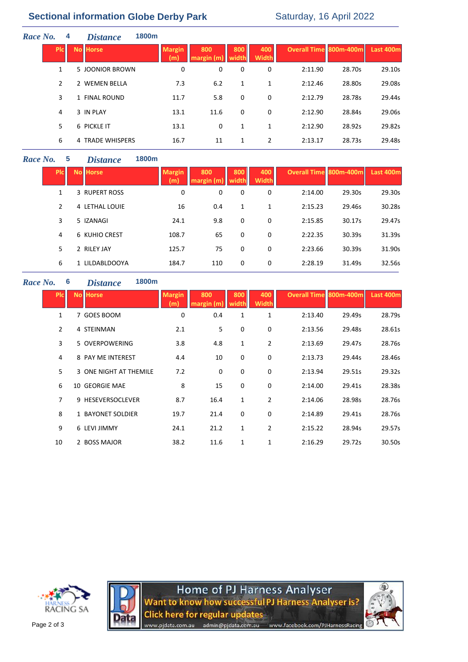# **Sectional information Globe Derby Park** Saturday, 16 April 2022

| Race No. | 4            | <b>Distance</b>  | 1800 <sub>m</sub>    |                   |              |                     |                               |        |           |
|----------|--------------|------------------|----------------------|-------------------|--------------|---------------------|-------------------------------|--------|-----------|
|          | <b>Picil</b> | <b>No Horse</b>  | <b>Margin</b><br>(m) | 800<br>margin (m) | 800<br>width | 400<br><b>Width</b> | <b>Overall Time 800m-400m</b> |        | Last 400m |
|          | 1            | 5 JOONIOR BROWN  | 0                    | 0                 | 0            | 0                   | 2:11.90                       | 28.70s | 29.10s    |
| 2        |              | 2 WEMEN BELLA    | 7.3                  | 6.2               | 1            | $\mathbf{1}$        | 2:12.46                       | 28.80s | 29.08s    |
|          | 3            | 1 FINAL ROUND    | 11.7                 | 5.8               | 0            | 0                   | 2:12.79                       | 28.78s | 29.44s    |
| 4        |              | 3 IN PLAY        | 13.1                 | 11.6              | 0            | 0                   | 2:12.90                       | 28.84s | 29.06s    |
|          | 5            | 6 PICKLE IT      | 13.1                 | 0                 | 1            | 1                   | 2:12.90                       | 28.92s | 29.82s    |
|          | 6            | 4 TRADE WHISPERS | 16.7                 | 11                | 1            | 2                   | 2:13.17                       | 28.73s | 29.48s    |
|          |              |                  |                      |                   |              |                     |                               |        |           |

### *Race No.* **5** *Dist*

| 1800m<br>tance |  |
|----------------|--|
|----------------|--|

| <b>PIC</b>    | <b>No Horse</b> | <b>Margin</b><br>(m) | 800<br>margin (m) | 800<br>width | 400<br><b>Width</b> | <b>Overall Time 800m-400m</b> |        | Last 400m |
|---------------|-----------------|----------------------|-------------------|--------------|---------------------|-------------------------------|--------|-----------|
| 1             | 3 RUPERT ROSS   | 0                    | 0                 | 0            | 0                   | 2:14.00                       | 29.30s | 29.30s    |
| $\mathcal{P}$ | 4 LETHAL LOUIE  | 16                   | 0.4               | 1            | 1                   | 2:15.23                       | 29.46s | 30.28s    |
| 3             | 5 IZANAGI       | 24.1                 | 9.8               | 0            | 0                   | 2:15.85                       | 30.17s | 29.47s    |
| 4             | 6 KUHIO CREST   | 108.7                | 65                | 0            | 0                   | 2:22.35                       | 30.39s | 31.39s    |
| 5.            | 2 RILEY JAY     | 125.7                | 75                | 0            | 0                   | 2:23.66                       | 30.39s | 31.90s    |
| 6             | 1 LILDABLDOOYA  | 184.7                | 110               | 0            | 0                   | 2:28.19                       | 31.49s | 32.56s    |

*Race No.* **6** *Distance* **1800m**

| <b>PIC</b>     | <b>No Horse</b>        | <b>Margin</b><br>m | 800<br>margin (m | 800<br>width | 400<br><b>Width</b> | Overall Time 800m-400m |        | Last 400m |
|----------------|------------------------|--------------------|------------------|--------------|---------------------|------------------------|--------|-----------|
| 1              | 7 GOES BOOM            | 0                  | 0.4              | 1            | 1                   | 2:13.40                | 29.49s | 28.79s    |
| $\overline{2}$ | 4 STEINMAN             | 2.1                | 5                | 0            | 0                   | 2:13.56                | 29.48s | 28.61s    |
| 3              | 5 OVERPOWERING         | 3.8                | 4.8              | 1            | $\overline{2}$      | 2:13.69                | 29.47s | 28.76s    |
| 4              | 8 PAY ME INTEREST      | 4.4                | 10               | 0            | 0                   | 2:13.73                | 29.44s | 28.46s    |
| 5              | 3 ONE NIGHT AT THEMILE | 7.2                | 0                | 0            | 0                   | 2:13.94                | 29.51s | 29.32s    |
| 6              | 10 GEORGIE MAE         | 8                  | 15               | 0            | 0                   | 2:14.00                | 29.41s | 28.38s    |
| 7              | 9 HESEVERSOCLEVER      | 8.7                | 16.4             | 1            | $\overline{2}$      | 2:14.06                | 28.98s | 28.76s    |
| 8              | 1 BAYONET SOLDIER      | 19.7               | 21.4             | 0            | 0                   | 2:14.89                | 29.41s | 28.76s    |
| 9              | 6 LEVI JIMMY           | 24.1               | 21.2             | 1            | 2                   | 2:15.22                | 28.94s | 29.57s    |
| 10             | 2 BOSS MAJOR           | 38.2               | 11.6             | 1            | 1                   | 2:16.29                | 29.72s | 30.50s    |



Home of PJ Harness Analyser<br>Want to know how successful PJ Harness Analyser is? **Click here for regular updates** admin@pjdata.com.au www.facebook.com/PJHarnessRacing www.pjdata.com.au